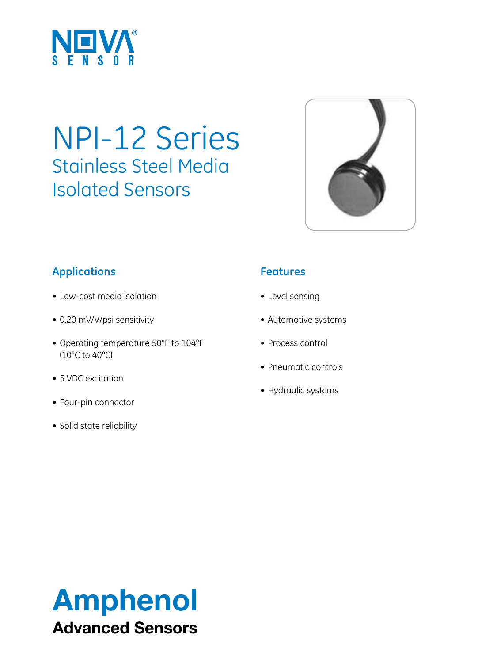

# NPI-12 Series Stainless Steel Media Isolated Sensors



## **Applications**

- Low-cost media isolation
- • 0.20 mV/V/psi sensitivity
- • Operating temperature 50°F to 104°F (10°C to 40°C)
- 5 VDC excitation
- Four-pin connector
- Solid state reliability

### **Features**

- • Level sensing
- • Automotive systems
- Process control
- Pneumatic controls
- Hydraulic systems

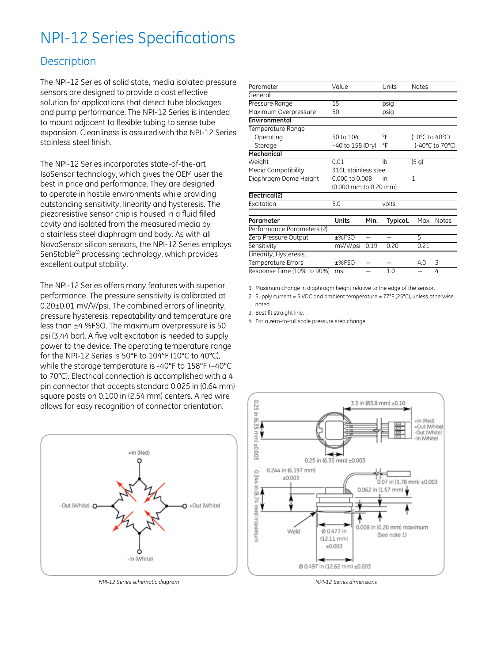# NPI-12 Series Specifications

#### **Description**

The NPI-12 Series of solid state, media isolated pressure sensors are designed to provide a cost effective solution for applications that detect tube blockages and pump performance. The NPI-12 Series is intended to mount adjacent to flexible tubing to sense tube expansion. Cleanliness is assured with the NPI-12 Series stainless steel finish.

The NPI-12 Series incorporates state-of-the-art IsoSensor technology, which gives the OEM user the best in price and performance. They are designed to operate in hostile environments while providing outstanding sensitivity, linearity and hysteresis. The piezoresistive sensor chip is housed in a fluid filled cavity and isolated from the measured media by a stainless steel diaphragm and body. As with all NovaSensor silicon sensors, the NPI-12 Series employs SenStable® processing technology, which provides excellent output stability.

The NPI-12 Series offers many features with superior performance. The pressure sensitivity is calibrated at 0.20±0.01 mV/V/psi. The combined errors of linearity, pressure hysteresis, repeatability and temperature are less than ±4 %FSO. The maximum overpressure is 50 psi (3.44 bar). A five volt excitation is needed to supply power to the device. The operating temperature range for the NPI-12 Series is 50°F to 104°F (10°C to 40°C), while the storage temperature is -40°F to 158°F (–40°C to 70°C). Electrical connection is accomplished with a 4 pin connector that accepts standard 0.025 in (0.64 mm) square posts on 0.100 in (2.54 mm) centers. A red wire allows for easy recognition of connector orientation.



*NPI-12 Series schematic diagram*

| Parameter                  | Value                 |      | Units          | <b>Notes</b>    |              |
|----------------------------|-----------------------|------|----------------|-----------------|--------------|
| General                    |                       |      |                |                 |              |
| Pressure Range             | 15                    |      | psig           |                 |              |
| Maximum Overpressure       | 50                    |      | psig           |                 |              |
| Environmental              |                       |      |                |                 |              |
| Temperature Range          |                       |      |                |                 |              |
| Operating                  | 50 to 104             |      | °F             | (10°C to 40°C)  |              |
| Storage                    | -40 to 158 (Dry)      |      | °F             | (-40°C to 70°C) |              |
| Mechanical                 |                       |      |                |                 |              |
| Weight                     | 0.01                  |      | lh             | (5q)            |              |
| Media Compatibility        | 316L stainless steel  |      |                |                 |              |
| Diaphragm Dome Height      | 0.000 to 0.008        |      | in             | 1               |              |
|                            | (0.000 mm to 0.20 mm) |      |                |                 |              |
| Electrical(2)              |                       |      |                |                 |              |
| Excitation                 | 5.0                   |      | volts          |                 |              |
|                            |                       |      |                |                 |              |
| Parameter                  | Units                 | Min. | TypicaL        | Max.            | <b>Notes</b> |
| Performance Parameters (2) |                       |      |                |                 |              |
| Zero Pressure Output       | ±%FSO                 |      |                | 5               |              |
| Sensitivity                | mV/V/psi              | 0.19 | 0.20           | 0.21            |              |
| Linearity, Hysteresis,     |                       |      |                |                 |              |
| Temperature Errors         | ±%FSO                 |      |                | 4.0             | 3            |
| Response Time (10% to 90%) | ms                    |      | 1 <sub>0</sub> |                 | 4            |
|                            |                       |      |                |                 |              |

1. Maximum change in diaphragm height relative to the edge of the sensor.

2. Supply current = 5 VDC and ambient temperature =  $77^{\circ}F$  (25 $^{\circ}C$ ), unless otherwise noted.

3. Best fit straight line.

4. For a zero-to-full scale pressure step change.



*NPI-12 Series dimensions*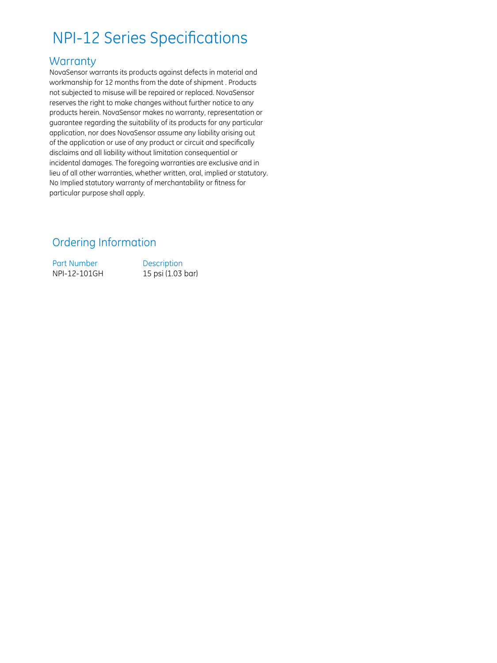# NPI-12 Series Specifications

#### **Warranty**

NovaSensor warrants its products against defects in material and workmanship for 12 months from the date of shipment . Products not subjected to misuse will be repaired or replaced. NovaSensor reserves the right to make changes without further notice to any products herein. NovaSensor makes no warranty, representation or guarantee regarding the suitability of its products for any particular application, nor does NovaSensor assume any liability arising out of the application or use of any product or circuit and specifically disclaims and all liability without limitation consequential or incidental damages. The foregoing warranties are exclusive and in lieu of all other warranties, whether written, oral, implied or statutory. No Implied statutory warranty of merchantability or fitness for particular purpose shall apply.

### Ordering Information

Part Number Description NPI-12-101GH 15 psi (1.03 bar)